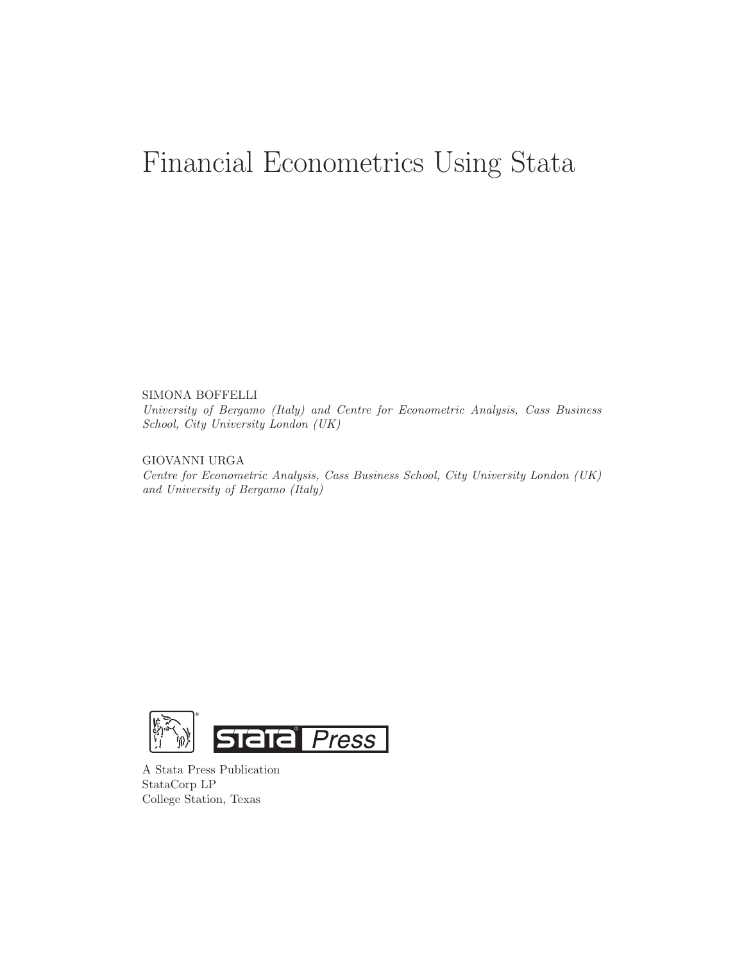# Financial Econometrics Using Stata

SIMONA BOFFELLI University of Bergamo (Italy) and Centre for Econometric Analysis, Cass Business School, City University London (UK)

# GIOVANNI URGA

Centre for Econometric Analysis, Cass Business School, City University London (UK) and University of Bergamo (Italy)



A Stata Press Publication StataCorp LP College Station, Texas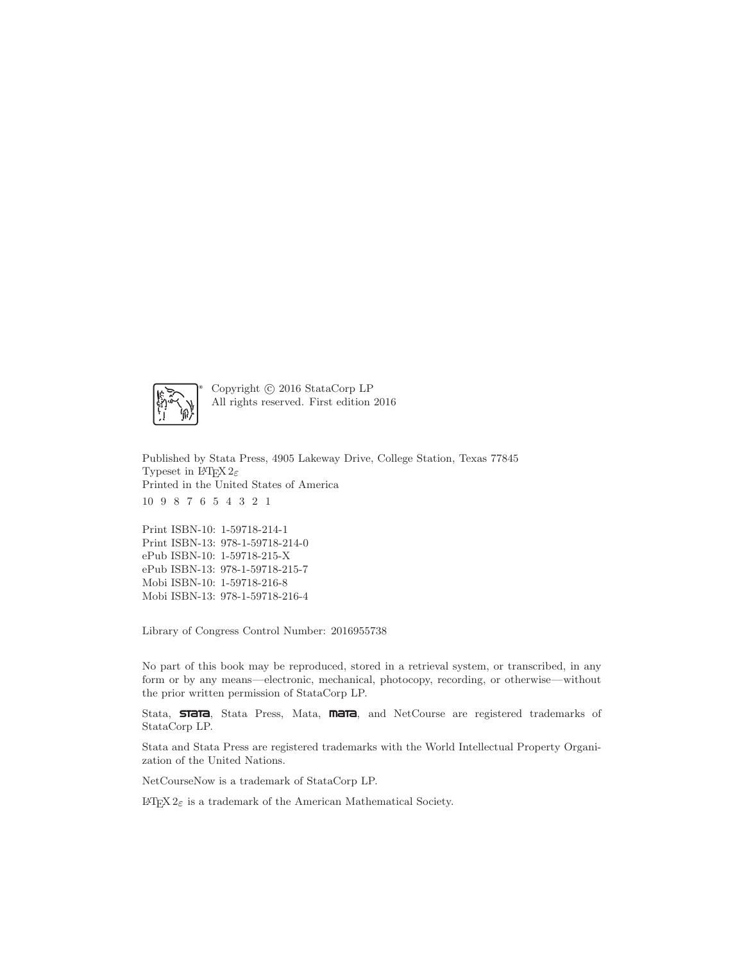

Copyright  $\odot$  2016 StataCorp LP All rights reserved. First edition 2016

Published by Stata Press, 4905 Lakeway Drive, College Station, Texas 77845 Typeset in  $\mathbb{H}\mathrm{Tr} X 2_\varepsilon$ Printed in the United States of America 10 9 8 7 6 5 4 3 2 1

Print ISBN-10: 1-59718-214-1 Print ISBN-13: 978-1-59718-214-0 ePub ISBN-10: 1-59718-215-X ePub ISBN-13: 978-1-59718-215-7 Mobi ISBN-10: 1-59718-216-8 Mobi ISBN-13: 978-1-59718-216-4

Library of Congress Control Number: 2016955738

No part of this book may be reproduced, stored in a retrieval system, or transcribed, in any form or by any means—electronic, mechanical, photocopy, recording, or otherwise—without the prior written permission of StataCorp LP.

Stata, **STATA**, Stata Press, Mata, **mata**, and NetCourse are registered trademarks of StataCorp LP.

Stata and Stata Press are registered trademarks with the World Intellectual Property Organization of the United Nations.

NetCourseNow is a trademark of StataCorp LP.

 $\mathbb{F}\to \mathbb{F}$ 2 $\varepsilon$  is a trademark of the American Mathematical Society.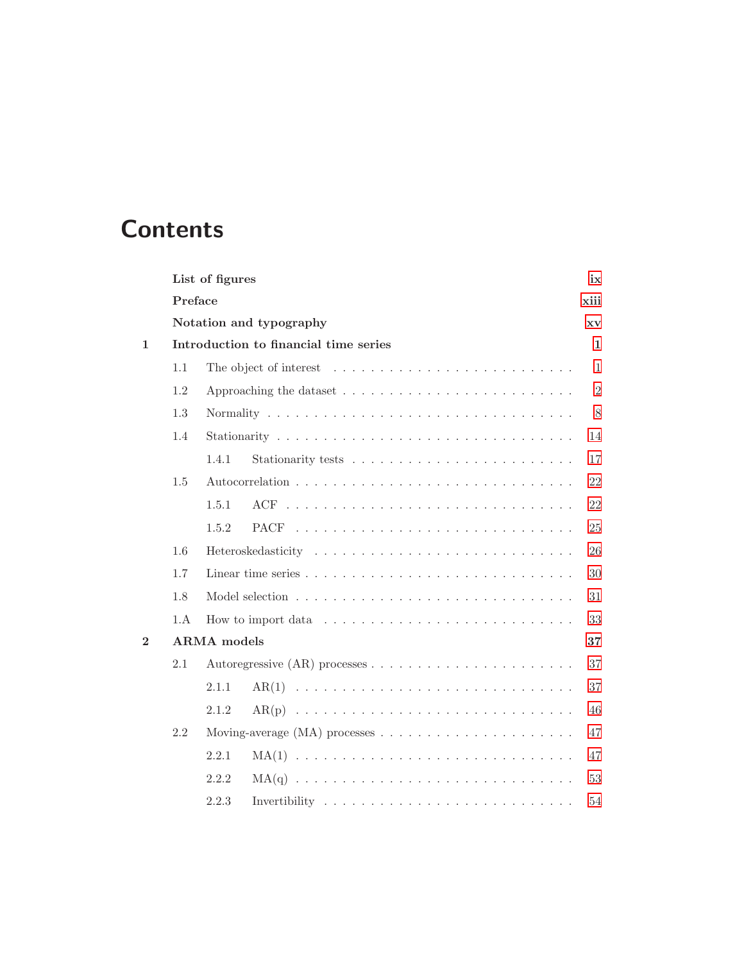# **Contents**

|                | List of figures |                                       |                |  |  |  |  |  |
|----------------|-----------------|---------------------------------------|----------------|--|--|--|--|--|
|                |                 | Preface                               |                |  |  |  |  |  |
|                |                 | Notation and typography               | XV             |  |  |  |  |  |
| 1              |                 | Introduction to financial time series |                |  |  |  |  |  |
|                | 1.1             |                                       | $\mathbf{1}$   |  |  |  |  |  |
|                | 1.2             |                                       | $\overline{2}$ |  |  |  |  |  |
|                | 1.3             |                                       | 8              |  |  |  |  |  |
|                | 1.4             |                                       | 14             |  |  |  |  |  |
|                |                 | 1.4.1                                 | 17             |  |  |  |  |  |
|                | 1.5             |                                       | 22             |  |  |  |  |  |
|                |                 | 1.5.1                                 | 22             |  |  |  |  |  |
|                |                 | 1.5.2                                 | 25             |  |  |  |  |  |
|                | 1.6             |                                       | 26             |  |  |  |  |  |
|                | 1.7             |                                       | 30             |  |  |  |  |  |
|                | 1.8             |                                       | 31             |  |  |  |  |  |
|                | 1.A             |                                       | 33             |  |  |  |  |  |
| $\overline{2}$ |                 | <b>ARMA</b> models                    | 37             |  |  |  |  |  |
|                | 2.1             |                                       | 37             |  |  |  |  |  |
|                |                 | 2.1.1                                 | 37             |  |  |  |  |  |
|                |                 | 2.1.2                                 | 46             |  |  |  |  |  |
|                | 2.2             |                                       | 47             |  |  |  |  |  |
|                |                 | 2.2.1                                 | 47             |  |  |  |  |  |
|                |                 | 2.2.2                                 | $53\,$         |  |  |  |  |  |
|                |                 | 2.2.3                                 | 54             |  |  |  |  |  |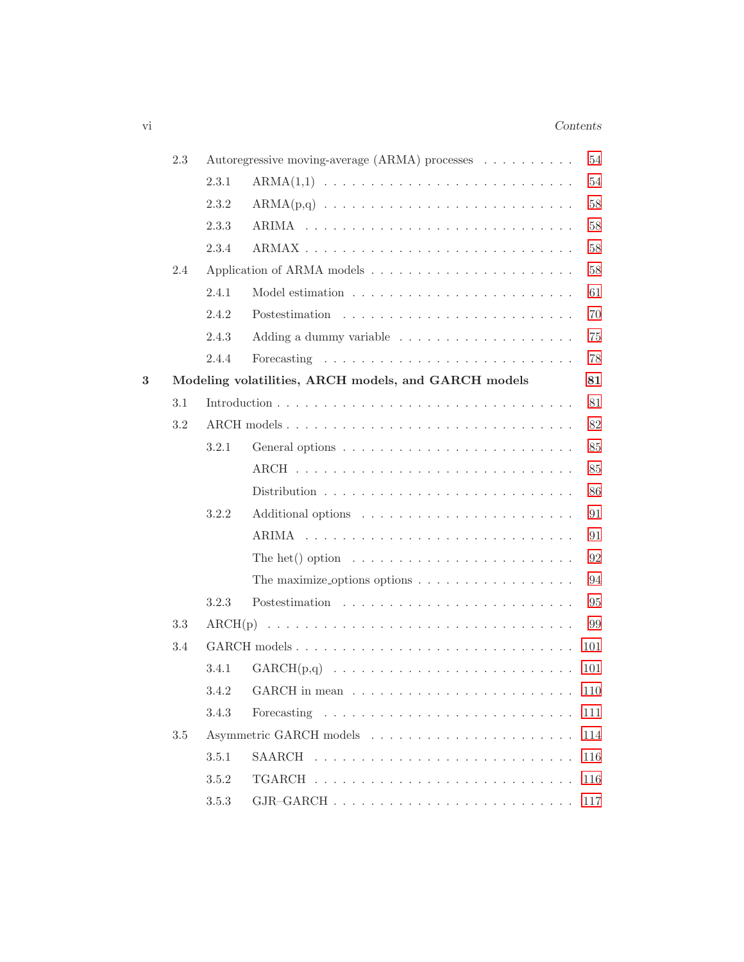# vi Contents

|   | 2.3     |       | 54<br>Autoregressive moving-average (ARMA) processes                             |  |
|---|---------|-------|----------------------------------------------------------------------------------|--|
|   |         | 2.3.1 | 54                                                                               |  |
|   |         | 2.3.2 | $58\,$                                                                           |  |
|   |         | 2.3.3 | $58\,$                                                                           |  |
|   |         | 2.3.4 | $58\,$                                                                           |  |
|   | 2.4     |       | $58\,$                                                                           |  |
|   |         | 2.4.1 | 61                                                                               |  |
|   |         | 2.4.2 | 70                                                                               |  |
|   |         | 2.4.3 | 75                                                                               |  |
|   |         | 2.4.4 | 78                                                                               |  |
| 3 |         |       | Modeling volatilities, ARCH models, and GARCH models<br>81                       |  |
|   | 3.1     |       | 81                                                                               |  |
|   | 3.2     |       | 82<br>ARCH models                                                                |  |
|   |         | 3.2.1 | 85                                                                               |  |
|   |         |       | 85                                                                               |  |
|   |         |       | 86                                                                               |  |
|   |         | 3.2.2 | 91                                                                               |  |
|   |         |       | 91                                                                               |  |
|   |         |       | The het() option $\ldots \ldots \ldots \ldots \ldots \ldots \ldots \ldots$<br>92 |  |
|   |         |       | 94<br>The maximize options options $\dots \dots \dots \dots \dots \dots$         |  |
|   |         | 3.2.3 | 95                                                                               |  |
|   | 3.3     |       | 99                                                                               |  |
|   | 3.4     |       | 101                                                                              |  |
|   |         | 3.4.1 | 101                                                                              |  |
|   |         | 3.4.2 | 110                                                                              |  |
|   |         | 3.4.3 | 111                                                                              |  |
|   | $3.5\,$ |       | 114                                                                              |  |
|   |         | 3.5.1 | 116                                                                              |  |
|   |         | 3.5.2 | 116                                                                              |  |
|   |         | 3.5.3 | 117                                                                              |  |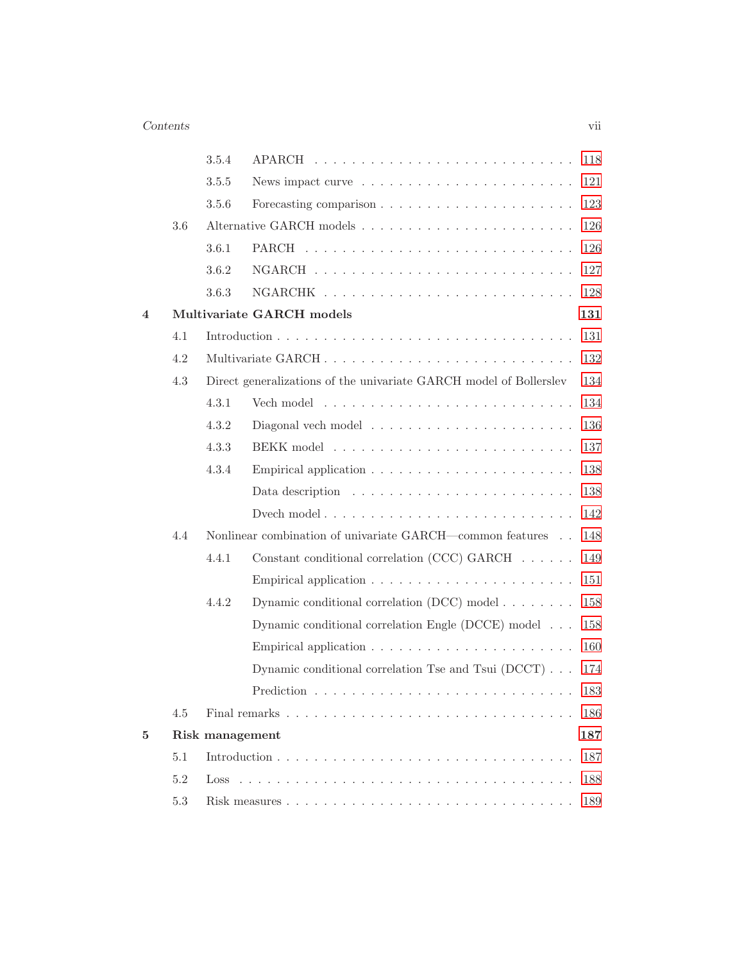### Contents vii

|   |         | 3.5.4                                                                          |                                                                           | 118 |  |  |  |  |
|---|---------|--------------------------------------------------------------------------------|---------------------------------------------------------------------------|-----|--|--|--|--|
|   |         | 3.5.5                                                                          |                                                                           | 121 |  |  |  |  |
|   |         | 3.5.6                                                                          | Forecasting comparison $\ldots \ldots \ldots \ldots \ldots \ldots \ldots$ | 123 |  |  |  |  |
|   | 3.6     |                                                                                |                                                                           | 126 |  |  |  |  |
|   |         | 3.6.1                                                                          |                                                                           | 126 |  |  |  |  |
|   |         | 3.6.2                                                                          |                                                                           | 127 |  |  |  |  |
|   |         | 3.6.3                                                                          |                                                                           | 128 |  |  |  |  |
| 4 |         |                                                                                | Multivariate GARCH models                                                 | 131 |  |  |  |  |
|   | 4.1     |                                                                                |                                                                           | 131 |  |  |  |  |
|   | 4.2     |                                                                                |                                                                           | 132 |  |  |  |  |
|   | 4.3     |                                                                                | Direct generalizations of the univariate GARCH model of Bollerslev        | 134 |  |  |  |  |
|   |         | 4.3.1                                                                          |                                                                           | 134 |  |  |  |  |
|   |         | 4.3.2                                                                          |                                                                           | 136 |  |  |  |  |
|   |         | 4.3.3                                                                          |                                                                           | 137 |  |  |  |  |
|   |         | 4.3.4                                                                          |                                                                           | 138 |  |  |  |  |
|   |         |                                                                                |                                                                           | 138 |  |  |  |  |
|   |         |                                                                                |                                                                           | 142 |  |  |  |  |
|   | 4.4     | Nonlinear combination of univariate GARCH—common features $\phantom{1}$<br>148 |                                                                           |     |  |  |  |  |
|   |         | 4.4.1                                                                          | Constant conditional correlation (CCC) GARCH $\ldots \ldots$              | 149 |  |  |  |  |
|   |         |                                                                                |                                                                           | 151 |  |  |  |  |
|   |         | 4.4.2                                                                          | Dynamic conditional correlation (DCC) model                               | 158 |  |  |  |  |
|   |         |                                                                                | Dynamic conditional correlation Engle (DCCE) model                        | 158 |  |  |  |  |
|   |         |                                                                                |                                                                           | 160 |  |  |  |  |
|   |         |                                                                                | Dynamic conditional correlation Tse and Tsui ( $\text{DCCT}$ ) $\ldots$   | 174 |  |  |  |  |
|   |         |                                                                                |                                                                           | 183 |  |  |  |  |
|   | 4.5     |                                                                                |                                                                           | 186 |  |  |  |  |
| 5 |         | <b>Risk management</b>                                                         |                                                                           | 187 |  |  |  |  |
|   | 5.1     | 187                                                                            |                                                                           |     |  |  |  |  |
|   | 5.2     | 188                                                                            |                                                                           |     |  |  |  |  |
|   | $5.3\,$ | 189                                                                            |                                                                           |     |  |  |  |  |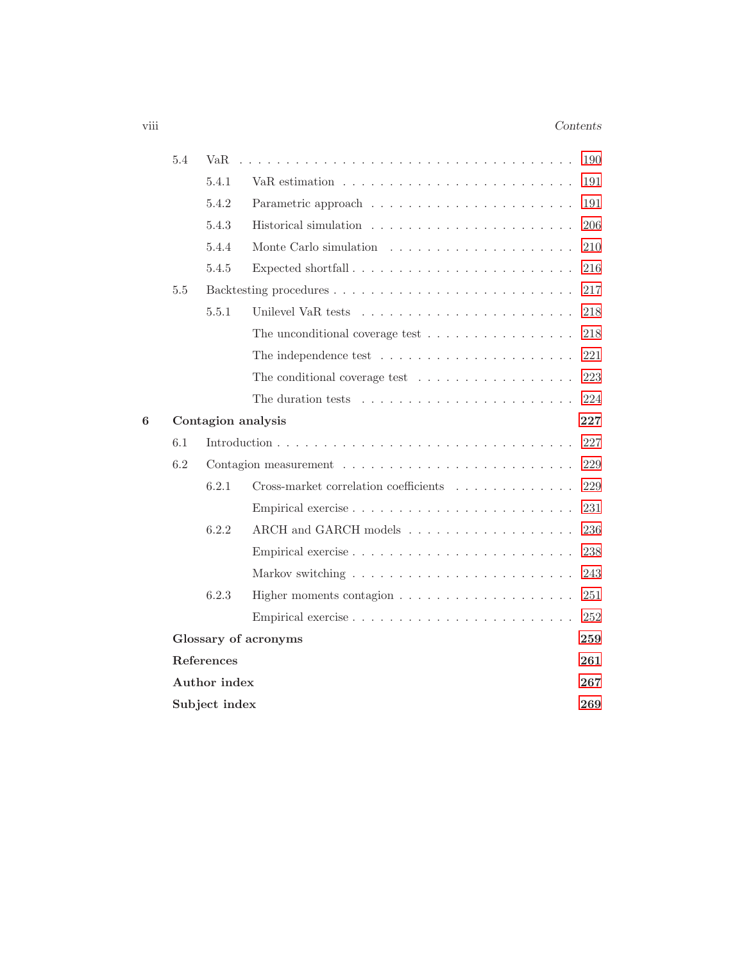# viii Contents

|   | 5.4        | VaR                 |                                                                          | 190 |  |  |  |
|---|------------|---------------------|--------------------------------------------------------------------------|-----|--|--|--|
|   |            | 5.4.1               | VaR estimation $\ldots \ldots \ldots \ldots \ldots \ldots \ldots \ldots$ | 191 |  |  |  |
|   |            | 5.4.2               |                                                                          | 191 |  |  |  |
|   |            | 5.4.3               |                                                                          | 206 |  |  |  |
|   |            | 5.4.4               |                                                                          | 210 |  |  |  |
|   |            | 5.4.5               | Expected shortfall                                                       | 216 |  |  |  |
|   | 5.5        |                     |                                                                          | 217 |  |  |  |
|   |            | 5.5.1               |                                                                          | 218 |  |  |  |
|   |            |                     | The unconditional coverage test $\dots \dots \dots \dots \dots$          | 218 |  |  |  |
|   |            |                     | The independence test $\dots \dots \dots \dots \dots \dots \dots \dots$  | 221 |  |  |  |
|   |            |                     | The conditional coverage test $\dots \dots \dots \dots \dots \dots$      | 223 |  |  |  |
|   |            |                     | The duration tests $\dots \dots \dots \dots \dots \dots \dots \dots$     | 224 |  |  |  |
| 6 |            |                     | Contagion analysis                                                       | 227 |  |  |  |
|   | 6.1        |                     |                                                                          | 227 |  |  |  |
|   | 6.2        |                     |                                                                          | 229 |  |  |  |
|   |            | 6.2.1               | Cross-market correlation coefficients                                    | 229 |  |  |  |
|   |            |                     |                                                                          | 231 |  |  |  |
|   |            | 6.2.2               |                                                                          | 236 |  |  |  |
|   |            |                     |                                                                          | 238 |  |  |  |
|   |            |                     | Markov switching $\ldots \ldots \ldots \ldots \ldots \ldots \ldots$      | 243 |  |  |  |
|   |            | 6.2.3               |                                                                          | 251 |  |  |  |
|   |            |                     |                                                                          | 252 |  |  |  |
|   |            |                     | Glossary of acronyms                                                     | 259 |  |  |  |
|   | References |                     |                                                                          |     |  |  |  |
|   |            | <b>Author</b> index |                                                                          | 267 |  |  |  |
|   |            | Subject index       |                                                                          | 269 |  |  |  |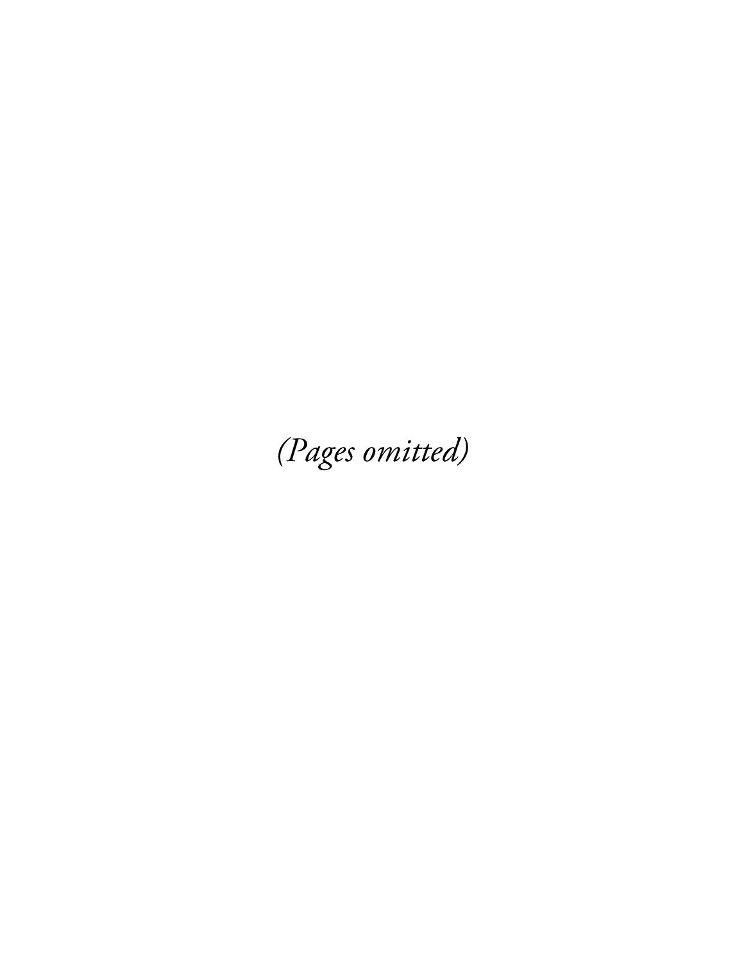(Pages omitted)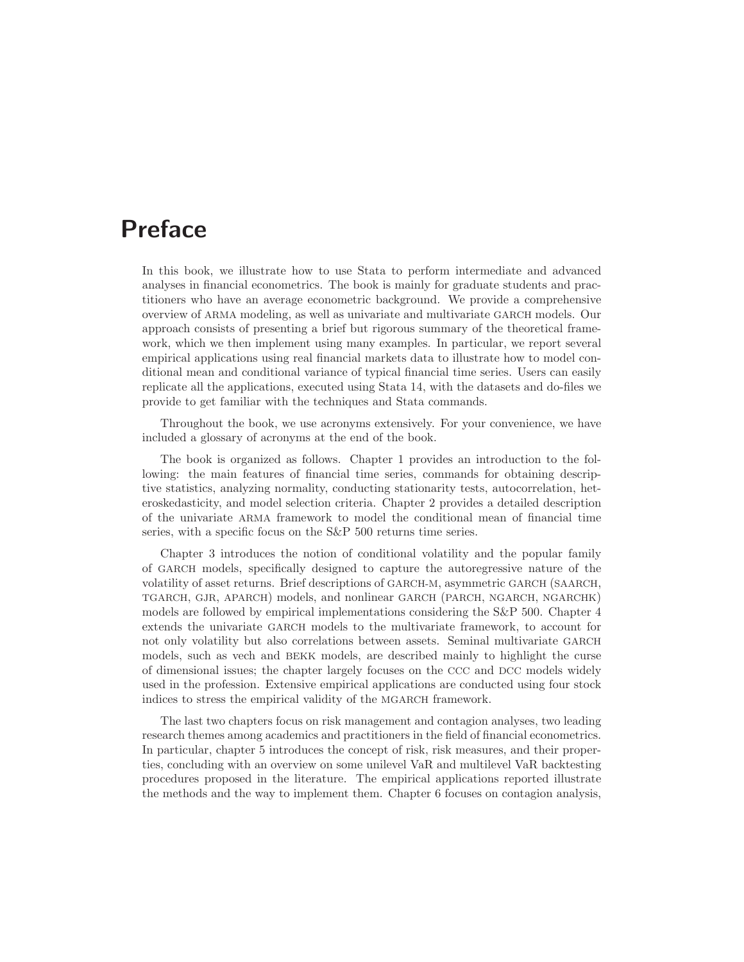# Preface

In this book, we illustrate how to use Stata to perform intermediate and advanced analyses in financial econometrics. The book is mainly for graduate students and practitioners who have an average econometric background. We provide a comprehensive overview of ARMA modeling, as well as univariate and multivariate GARCH models. Our approach consists of presenting a brief but rigorous summary of the theoretical framework, which we then implement using many examples. In particular, we report several empirical applications using real financial markets data to illustrate how to model conditional mean and conditional variance of typical financial time series. Users can easily replicate all the applications, executed using Stata 14, with the datasets and do-files we provide to get familiar with the techniques and Stata commands.

Throughout the book, we use acronyms extensively. For your convenience, we have included a glossary of acronyms at the end of the book.

The book is organized as follows. Chapter 1 provides an introduction to the following: the main features of financial time series, commands for obtaining descriptive statistics, analyzing normality, conducting stationarity tests, autocorrelation, heteroskedasticity, and model selection criteria. Chapter 2 provides a detailed description of the univariate ARMA framework to model the conditional mean of financial time series, with a specific focus on the S&P 500 returns time series.

Chapter 3 introduces the notion of conditional volatility and the popular family of GARCH models, specifically designed to capture the autoregressive nature of the volatility of asset returns. Brief descriptions of GARCH-M, asymmetric GARCH (SAARCH, TGARCH, GJR, APARCH) models, and nonlinear GARCH (PARCH, NGARCH, NGARCHK) models are followed by empirical implementations considering the S&P 500. Chapter 4 extends the univariate GARCH models to the multivariate framework, to account for not only volatility but also correlations between assets. Seminal multivariate GARCH models, such as vech and BEKK models, are described mainly to highlight the curse of dimensional issues; the chapter largely focuses on the CCC and DCC models widely used in the profession. Extensive empirical applications are conducted using four stock indices to stress the empirical validity of the MGARCH framework.

The last two chapters focus on risk management and contagion analyses, two leading research themes among academics and practitioners in the field of financial econometrics. In particular, chapter 5 introduces the concept of risk, risk measures, and their properties, concluding with an overview on some unilevel VaR and multilevel VaR backtesting procedures proposed in the literature. The empirical applications reported illustrate the methods and the way to implement them. Chapter 6 focuses on contagion analysis,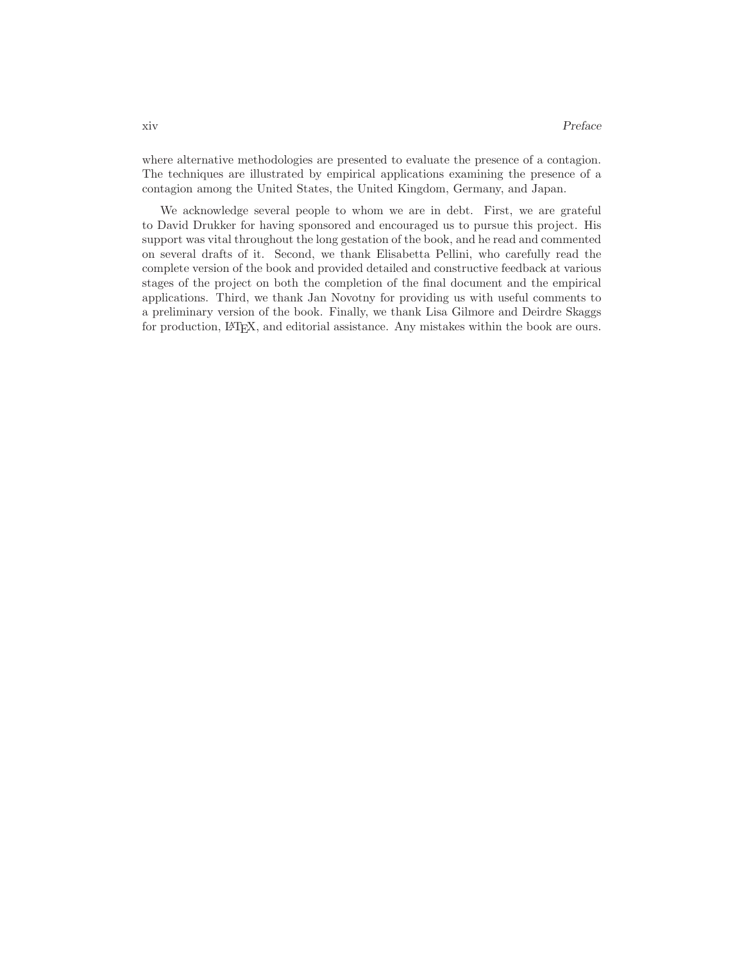where alternative methodologies are presented to evaluate the presence of a contagion. The techniques are illustrated by empirical applications examining the presence of a contagion among the United States, the United Kingdom, Germany, and Japan.

We acknowledge several people to whom we are in debt. First, we are grateful to David Drukker for having sponsored and encouraged us to pursue this project. His support was vital throughout the long gestation of the book, and he read and commented on several drafts of it. Second, we thank Elisabetta Pellini, who carefully read the complete version of the book and provided detailed and constructive feedback at various stages of the project on both the completion of the final document and the empirical applications. Third, we thank Jan Novotny for providing us with useful comments to a preliminary version of the book. Finally, we thank Lisa Gilmore and Deirdre Skaggs for production, L<sup>AT</sup>EX, and editorial assistance. Any mistakes within the book are ours.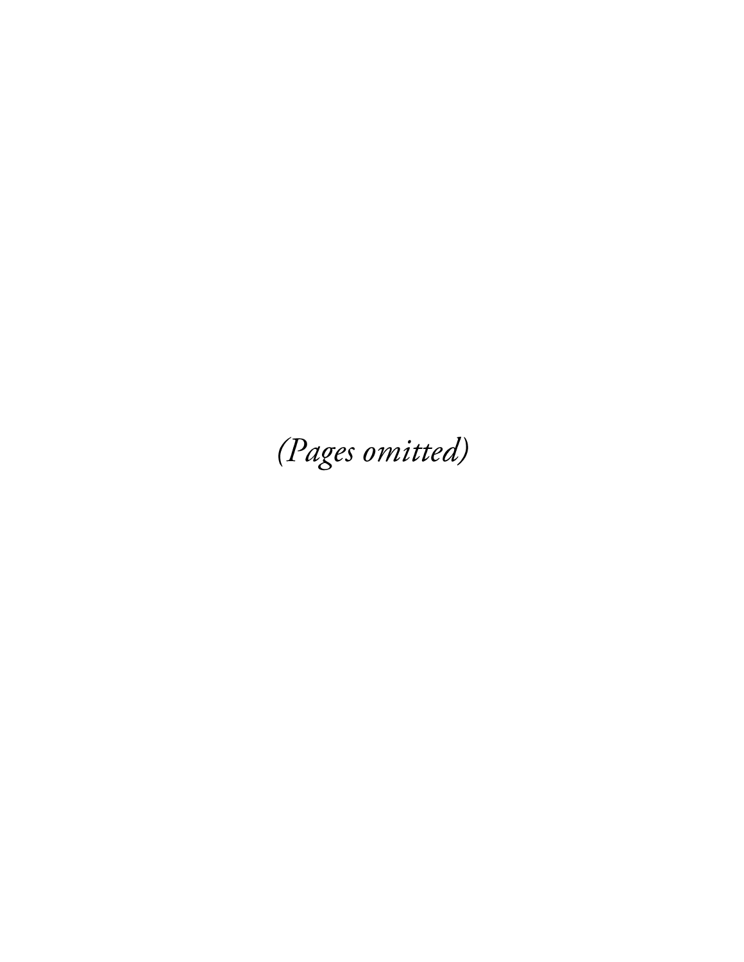(Pages omitted)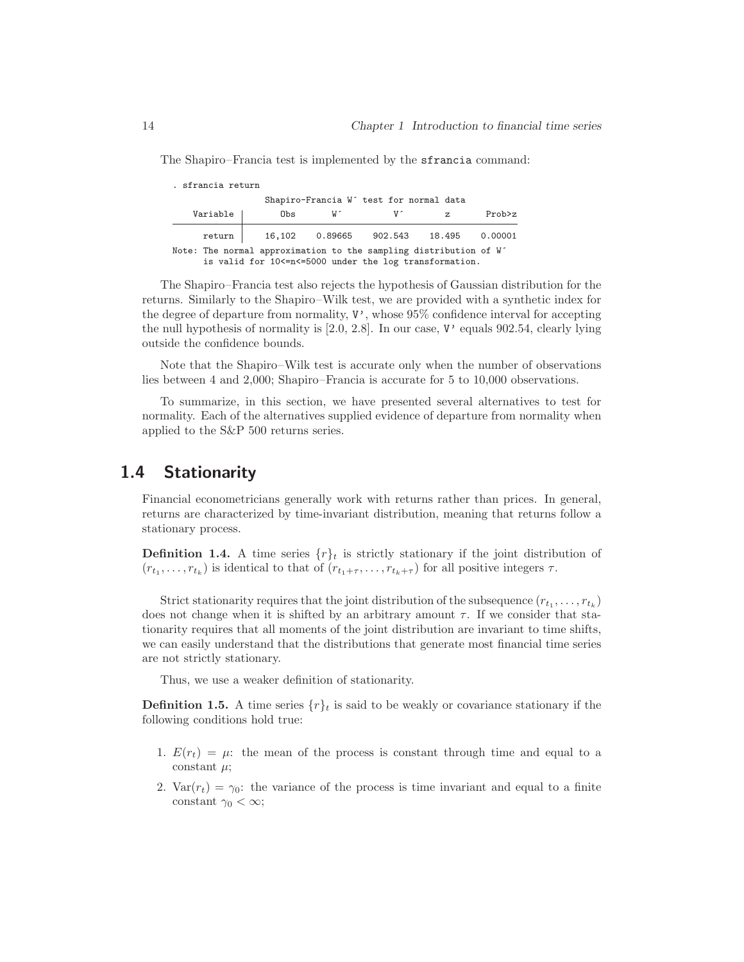The Shapiro–Francia test is implemented by the sfrancia command:

|                                                                                                                            | . sfrancia return |     |                          |                                         |        |              |
|----------------------------------------------------------------------------------------------------------------------------|-------------------|-----|--------------------------|-----------------------------------------|--------|--------------|
|                                                                                                                            |                   |     |                          | Shapiro-Francia W' test for normal data |        |              |
|                                                                                                                            | Variable          | Obs | Wſ                       | V <sup>-</sup>                          | Z      | $Prob \ge z$ |
|                                                                                                                            | return            |     | 16,102  0.89665  902.543 |                                         | 18.495 | 0.00001      |
| Note: The normal approximation to the sampling distribution of W<br>is valid for 10<=n<=5000 under the log transformation. |                   |     |                          |                                         |        |              |

The Shapiro–Francia test also rejects the hypothesis of Gaussian distribution for the returns. Similarly to the Shapiro–Wilk test, we are provided with a synthetic index for the degree of departure from normality,  $V'$ , whose  $95\%$  confidence interval for accepting the null hypothesis of normality is  $[2.0, 2.8]$ . In our case, V' equals 902.54, clearly lying outside the confidence bounds.

Note that the Shapiro–Wilk test is accurate only when the number of observations lies between 4 and 2,000; Shapiro–Francia is accurate for 5 to 10,000 observations.

To summarize, in this section, we have presented several alternatives to test for normality. Each of the alternatives supplied evidence of departure from normality when applied to the S&P 500 returns series.

# 1.4 Stationarity

Financial econometricians generally work with returns rather than prices. In general, returns are characterized by time-invariant distribution, meaning that returns follow a stationary process.

**Definition 1.4.** A time series  $\{r\}_t$  is strictly stationary if the joint distribution of  $(r_{t_1}, \ldots, r_{t_k})$  is identical to that of  $(r_{t_1+\tau}, \ldots, r_{t_k+\tau})$  for all positive integers  $\tau$ .

Strict stationarity requires that the joint distribution of the subsequence  $(r_{t_1}, \ldots, r_{t_k})$ does not change when it is shifted by an arbitrary amount  $\tau$ . If we consider that stationarity requires that all moments of the joint distribution are invariant to time shifts, we can easily understand that the distributions that generate most financial time series are not strictly stationary.

Thus, we use a weaker definition of stationarity.

**Definition 1.5.** A time series  $\{r\}_t$  is said to be weakly or covariance stationary if the following conditions hold true:

- 1.  $E(r_t) = \mu$ : the mean of the process is constant through time and equal to a constant  $\mu$ ;
- 2.  $Var(r_t) = \gamma_0$ : the variance of the process is time invariant and equal to a finite constant  $\gamma_0 < \infty$ ;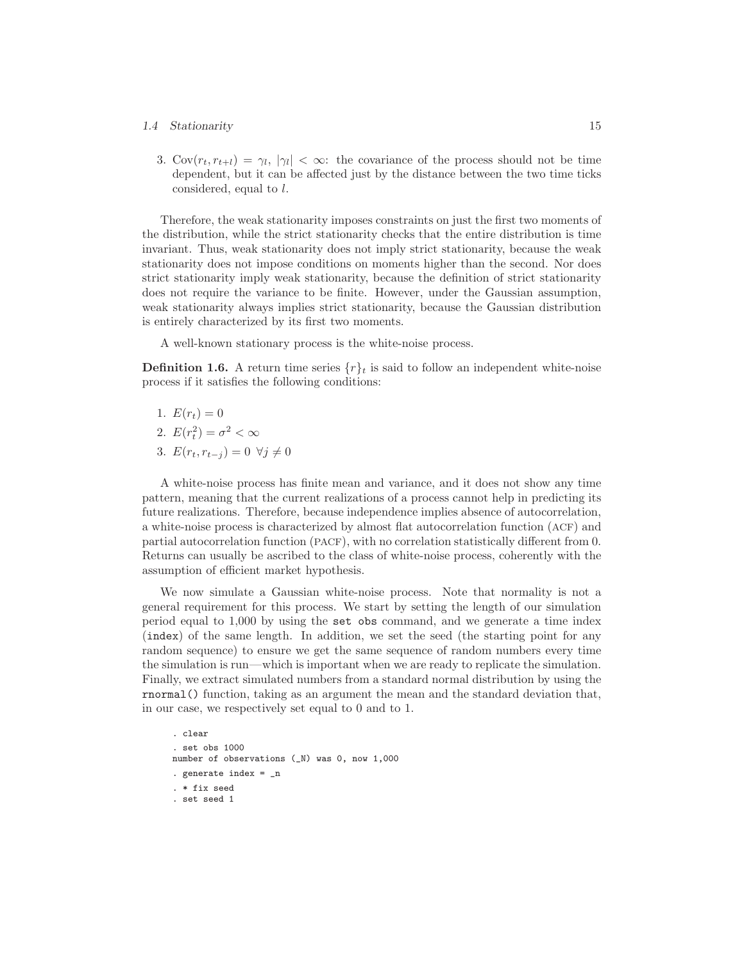#### 1.4 Stationarity 15

3.  $Cov(r_t, r_{t+1}) = \gamma_l$ ,  $|\gamma_l| < \infty$ : the covariance of the process should not be time dependent, but it can be affected just by the distance between the two time ticks considered, equal to l.

Therefore, the weak stationarity imposes constraints on just the first two moments of the distribution, while the strict stationarity checks that the entire distribution is time invariant. Thus, weak stationarity does not imply strict stationarity, because the weak stationarity does not impose conditions on moments higher than the second. Nor does strict stationarity imply weak stationarity, because the definition of strict stationarity does not require the variance to be finite. However, under the Gaussian assumption, weak stationarity always implies strict stationarity, because the Gaussian distribution is entirely characterized by its first two moments.

A well-known stationary process is the white-noise process.

**Definition 1.6.** A return time series  $\{r\}_t$  is said to follow an independent white-noise process if it satisfies the following conditions:

- 1.  $E(r_t) = 0$
- 2.  $E(r_t^2) = \sigma^2 < \infty$
- 3.  $E(r_t, r_{t-1}) = 0 \ \forall j \neq 0$

A white-noise process has finite mean and variance, and it does not show any time pattern, meaning that the current realizations of a process cannot help in predicting its future realizations. Therefore, because independence implies absence of autocorrelation, a white-noise process is characterized by almost flat autocorrelation function (ACF) and partial autocorrelation function (PACF), with no correlation statistically different from 0. Returns can usually be ascribed to the class of white-noise process, coherently with the assumption of efficient market hypothesis.

We now simulate a Gaussian white-noise process. Note that normality is not a general requirement for this process. We start by setting the length of our simulation period equal to 1,000 by using the set obs command, and we generate a time index (index) of the same length. In addition, we set the seed (the starting point for any random sequence) to ensure we get the same sequence of random numbers every time the simulation is run—which is important when we are ready to replicate the simulation. Finally, we extract simulated numbers from a standard normal distribution by using the rnormal() function, taking as an argument the mean and the standard deviation that, in our case, we respectively set equal to 0 and to 1.

. clear . set obs 1000 number of observations (\_N) was 0, now 1,000 . generate index  $=$   $n$ . \* fix seed . set seed 1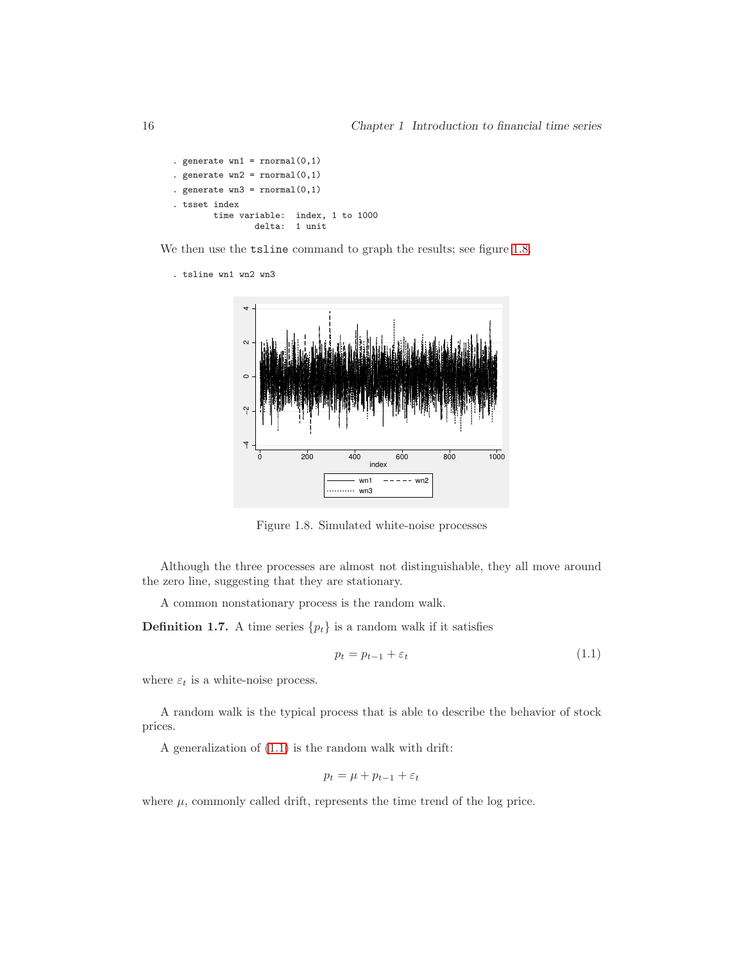```
. generate wn1 = rnormal(0,1). generate wn2 = rnormal(0,1). generate wn3 = rnormal(0,1). tsset index
       time variable: index, 1 to 1000
               delta: 1 unit
```
We then use the tsline command to graph the results; see figure 1.8.

```
. tsline wn1 wn2 wn3
```


Figure 1.8. Simulated white-noise processes

Although the three processes are almost not distinguishable, they all move around the zero line, suggesting that they are stationary.

A common nonstationary process is the random walk.

**Definition 1.7.** A time series  $\{p_t\}$  is a random walk if it satisfies

$$
p_t = p_{t-1} + \varepsilon_t \tag{1.1}
$$

where  $\varepsilon_t$  is a white-noise process.

A random walk is the typical process that is able to describe the behavior of stock prices.

A generalization of (1.1) is the random walk with drift:

$$
p_t = \mu + p_{t-1} + \varepsilon_t
$$

where  $\mu$ , commonly called drift, represents the time trend of the log price.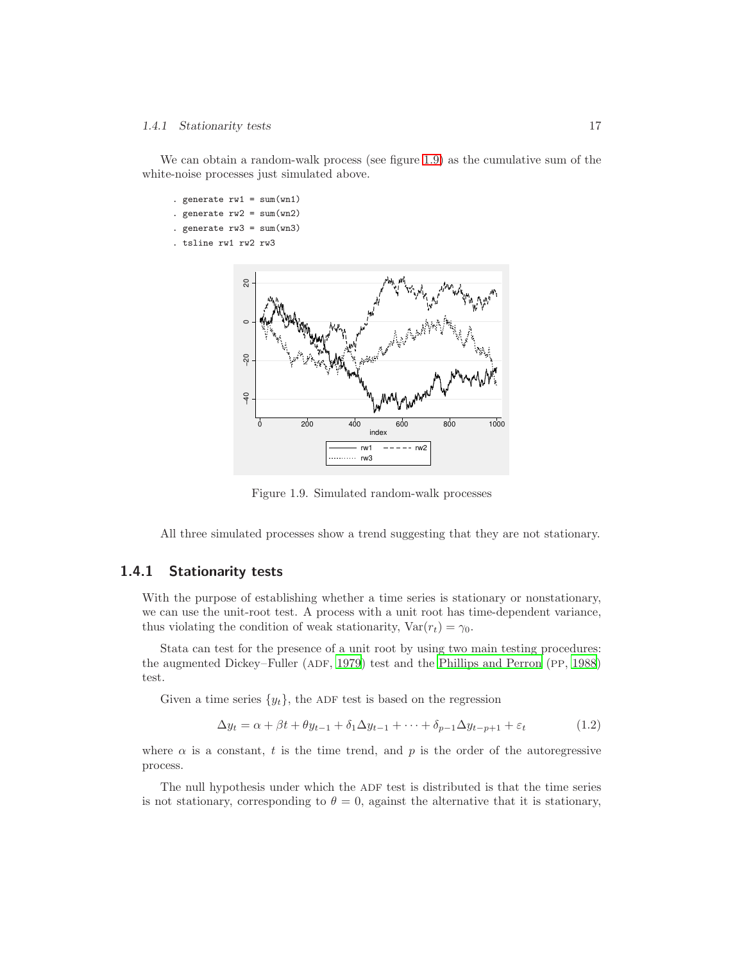#### 1.4.1 Stationarity tests 17

We can obtain a random-walk process (see figure 1.9) as the cumulative sum of the white-noise processes just simulated above.

. generate  $rw1 = sum(wn1)$ . generate  $rw2 = sum(wn2)$ . generate  $rw3 = sum(wn3)$ . tsline rw1 rw2 rw3



Figure 1.9. Simulated random-walk processes

All three simulated processes show a trend suggesting that they are not stationary.

## 1.4.1 Stationarity tests

With the purpose of establishing whether a time series is stationary or nonstationary, we can use the unit-root test. A process with a unit root has time-dependent variance, thus violating the condition of weak stationarity,  $Var(r_t) = \gamma_0$ .

Stata can test for the presence of a unit root by using two main testing procedures: the augmented Dickey–Fuller (ADF, 1979) test and the Phillips and Perron (PP, 1988) test.

Given a time series  $\{y_t\}$ , the ADF test is based on the regression

$$
\Delta y_t = \alpha + \beta t + \theta y_{t-1} + \delta_1 \Delta y_{t-1} + \dots + \delta_{p-1} \Delta y_{t-p+1} + \varepsilon_t \tag{1.2}
$$

where  $\alpha$  is a constant, t is the time trend, and p is the order of the autoregressive process.

The null hypothesis under which the ADF test is distributed is that the time series is not stationary, corresponding to  $\theta = 0$ , against the alternative that it is stationary,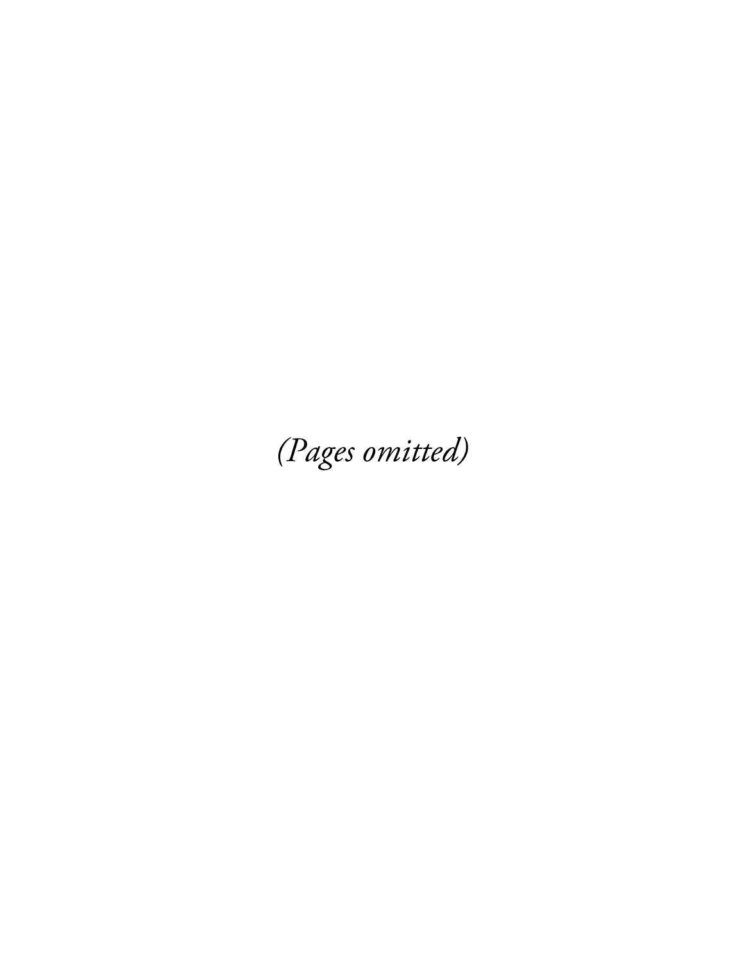(Pages omitted)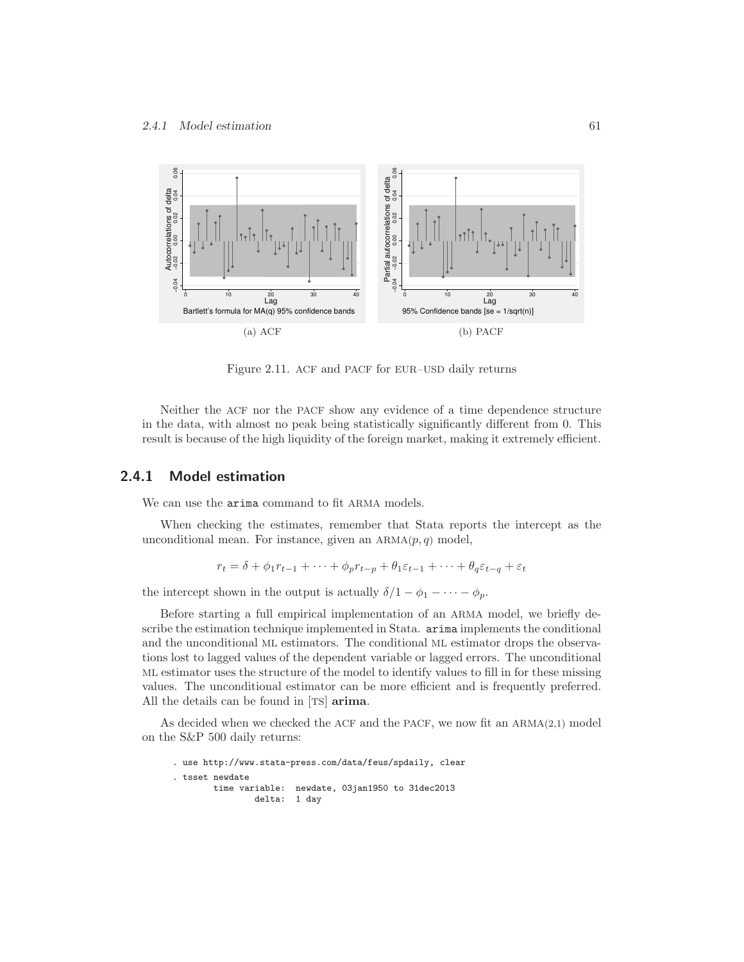

Figure 2.11. ACF and PACF for EUR–USD daily returns

Neither the ACF nor the PACF show any evidence of a time dependence structure in the data, with almost no peak being statistically significantly different from 0. This result is because of the high liquidity of the foreign market, making it extremely efficient.

## 2.4.1 Model estimation

We can use the **arima** command to fit ARMA models.

When checking the estimates, remember that Stata reports the intercept as the unconditional mean. For instance, given an  $ARMA(p, q)$  model,

$$
r_t = \delta + \phi_1 r_{t-1} + \dots + \phi_p r_{t-p} + \theta_1 \varepsilon_{t-1} + \dots + \theta_q \varepsilon_{t-q} + \varepsilon_t
$$

the intercept shown in the output is actually  $\delta/1 - \phi_1 - \cdots - \phi_p$ .

Before starting a full empirical implementation of an ARMA model, we briefly describe the estimation technique implemented in Stata. arima implements the conditional and the unconditional ML estimators. The conditional ML estimator drops the observations lost to lagged values of the dependent variable or lagged errors. The unconditional ML estimator uses the structure of the model to identify values to fill in for these missing values. The unconditional estimator can be more efficient and is frequently preferred. All the details can be found in [TS] arima.

As decided when we checked the ACF and the PACF, we now fit an ARMA(2,1) model on the S&P 500 daily returns:

```
. use http://www.stata-press.com/data/feus/spdaily, clear
. tsset newdate
       time variable: newdate, 03jan1950 to 31dec2013
               delta: 1 day
```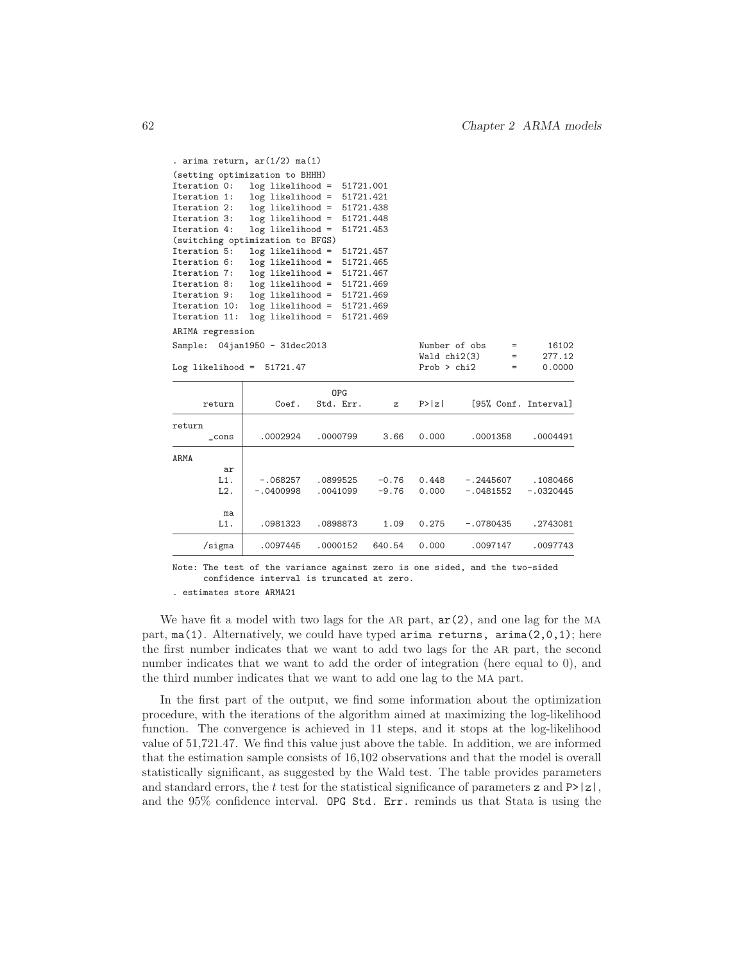| . arima return, $ar(1/2)$ ma(1)                 |                                 |            |              |                |                      |             |
|-------------------------------------------------|---------------------------------|------------|--------------|----------------|----------------------|-------------|
| (setting optimization to BHHH)                  |                                 |            |              |                |                      |             |
| Iteration 0:                                    | $log$ likelihood =<br>51721.001 |            |              |                |                      |             |
| $log$ likelihood =<br>Iteration 1:<br>51721.421 |                                 |            |              |                |                      |             |
| Iteration 2:                                    | $log$ likelihood =              | 51721.438  |              |                |                      |             |
| Iteration 3:                                    | $log$ likelihood =              | 51721.448  |              |                |                      |             |
| Iteration 4:                                    | $log$ likelihood =              | 51721.453  |              |                |                      |             |
| (switching optimization to BFGS)                |                                 |            |              |                |                      |             |
| Iteration 5:                                    | $log$ likelihood =              | 51721.457  |              |                |                      |             |
| Iteration 6:                                    | $log$ likelihood =              | 51721.465  |              |                |                      |             |
| Iteration 7:                                    | $log$ likelihood =              | 51721.467  |              |                |                      |             |
| Iteration 8:                                    | $log$ likelihood =              | 51721.469  |              |                |                      |             |
| Iteration 9:                                    | $log$ likelihood =              | 51721.469  |              |                |                      |             |
| Iteration 10:                                   | $log$ likelihood =              | 51721.469  |              |                |                      |             |
| Iteration 11:                                   | $log$ likelihood =              | 51721.469  |              |                |                      |             |
| ARIMA regression                                |                                 |            |              |                |                      |             |
| Sample: 04jan1950 - 31dec2013                   |                                 |            |              | Number of obs  | $=$                  | 16102       |
|                                                 |                                 |            |              | Wald $chi2(3)$ | $=$                  | 277.12      |
| Log likelihood = $51721.47$                     |                                 |            |              | Prob > chi2    | $=$                  | 0.0000      |
|                                                 |                                 |            |              |                |                      |             |
|                                                 |                                 | <b>OPG</b> |              |                |                      |             |
| return                                          | Coef.                           | Std. Err.  | $\mathbf{z}$ | P >  z         | [95% Conf. Interval] |             |
| return                                          |                                 |            |              |                |                      |             |
| $\_cons$                                        | .0002924                        | .0000799   | 3.66         | 0.000          | .0001358             | .0004491    |
| ARMA                                            |                                 |            |              |                |                      |             |
| ar                                              |                                 |            |              |                |                      |             |
| L1.                                             | $-.068257$                      | .0899525   | $-0.76$      | 0.448          | $-.2445607$          | .1080466    |
| $L2$ .                                          | $-.0400998$                     | .0041099   | $-9.76$      | 0.000          | $-.0481552$          | $-.0320445$ |
|                                                 |                                 |            |              |                |                      |             |
| ma                                              |                                 |            |              |                |                      |             |
| L1.                                             | .0981323                        | .0898873   | 1.09         | 0.275          | $-.0780435$          | .2743081    |
|                                                 |                                 |            |              |                |                      |             |
| /sigma                                          | .0097445                        | .0000152   | 640.54       | 0.000          | .0097147             | .0097743    |

Note: The test of the variance against zero is one sided, and the two-sided confidence interval is truncated at zero.

. estimates store ARMA21

We have fit a model with two lags for the AR part,  $ar(2)$ , and one lag for the MA part,  $ma(1)$ . Alternatively, we could have typed arima returns,  $arima(2,0,1)$ ; here the first number indicates that we want to add two lags for the AR part, the second number indicates that we want to add the order of integration (here equal to 0), and the third number indicates that we want to add one lag to the MA part.

In the first part of the output, we find some information about the optimization procedure, with the iterations of the algorithm aimed at maximizing the log-likelihood function. The convergence is achieved in 11 steps, and it stops at the log-likelihood value of 51,721.47. We find this value just above the table. In addition, we are informed that the estimation sample consists of 16,102 observations and that the model is overall statistically significant, as suggested by the Wald test. The table provides parameters and standard errors, the t test for the statistical significance of parameters  $z$  and  $P > |z|$ , and the 95% confidence interval. OPG Std. Err. reminds us that Stata is using the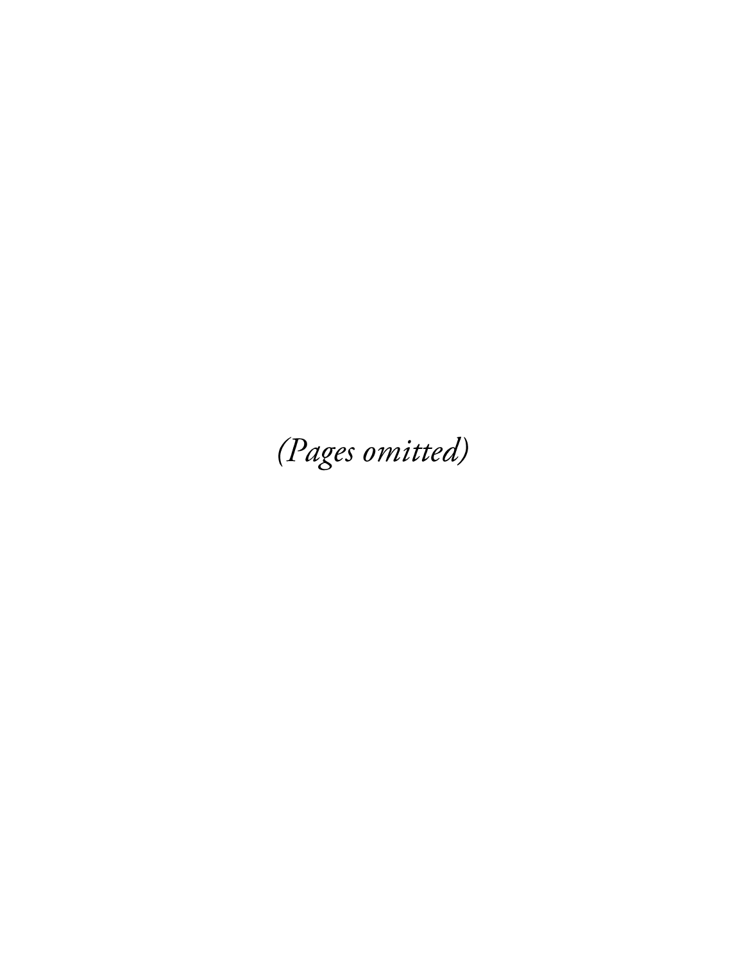(Pages omitted)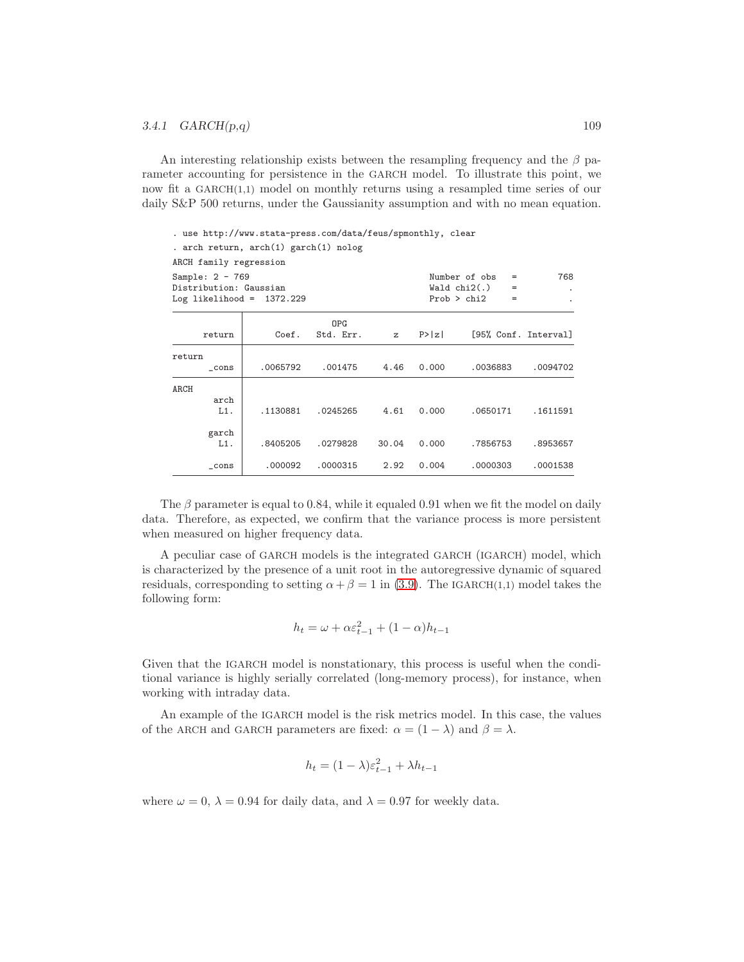An interesting relationship exists between the resampling frequency and the  $\beta$  parameter accounting for persistence in the GARCH model. To illustrate this point, we now fit a GARCH(1,1) model on monthly returns using a resampled time series of our daily S&P 500 returns, under the Gaussianity assumption and with no mean equation.

```
. use http://www.stata-press.com/data/feus/spmonthly, clear
```
. arch return, arch(1) garch(1) nolog

| ARCH family regression      |          |            |                |       |             |     |                      |
|-----------------------------|----------|------------|----------------|-------|-------------|-----|----------------------|
| Sample: 2 - 769             |          |            | Number of obs  | $=$   | 768         |     |                      |
| Distribution: Gaussian      |          |            | Wald $chi2(.)$ | $=$   | ٠           |     |                      |
| $Log$ likelihood = 1372.229 |          |            |                |       | Prob > chi2 | $=$ | $\ddot{\phantom{0}}$ |
|                             |          | <b>OPG</b> |                |       |             |     |                      |
| return                      | Coef.    | Std. Err.  | $\mathbf{z}$   | P>  z |             |     | [95% Conf. Interval] |
| return                      |          |            |                |       |             |     |                      |
| cons                        | .0065792 | .001475    | 4.46           | 0.000 | .0036883    |     | .0094702             |
| ARCH                        |          |            |                |       |             |     |                      |
| arch                        |          |            |                |       |             |     |                      |
| $L1$ .                      | .1130881 | .0245265   | 4.61           | 0.000 | .0650171    |     | .1611591             |
| garch                       |          |            |                |       |             |     |                      |
| L1.                         | .8405205 | .0279828   | 30.04          | 0.000 | .7856753    |     | .8953657             |
| $\_cons$                    | .000092  | .0000315   | 2.92           | 0.004 | .0000303    |     | .0001538             |

The  $\beta$  parameter is equal to 0.84, while it equaled 0.91 when we fit the model on daily data. Therefore, as expected, we confirm that the variance process is more persistent when measured on higher frequency data.

A peculiar case of GARCH models is the integrated GARCH (IGARCH) model, which is characterized by the presence of a unit root in the autoregressive dynamic of squared residuals, corresponding to setting  $\alpha + \beta = 1$  in (3.9). The IGARCH(1,1) model takes the following form:

$$
h_t = \omega + \alpha \varepsilon_{t-1}^2 + (1 - \alpha)h_{t-1}
$$

Given that the IGARCH model is nonstationary, this process is useful when the conditional variance is highly serially correlated (long-memory process), for instance, when working with intraday data.

An example of the IGARCH model is the risk metrics model. In this case, the values of the ARCH and GARCH parameters are fixed:  $\alpha = (1 - \lambda)$  and  $\beta = \lambda$ .

$$
h_t = (1 - \lambda)\varepsilon_{t-1}^2 + \lambda h_{t-1}
$$

where  $\omega = 0$ ,  $\lambda = 0.94$  for daily data, and  $\lambda = 0.97$  for weekly data.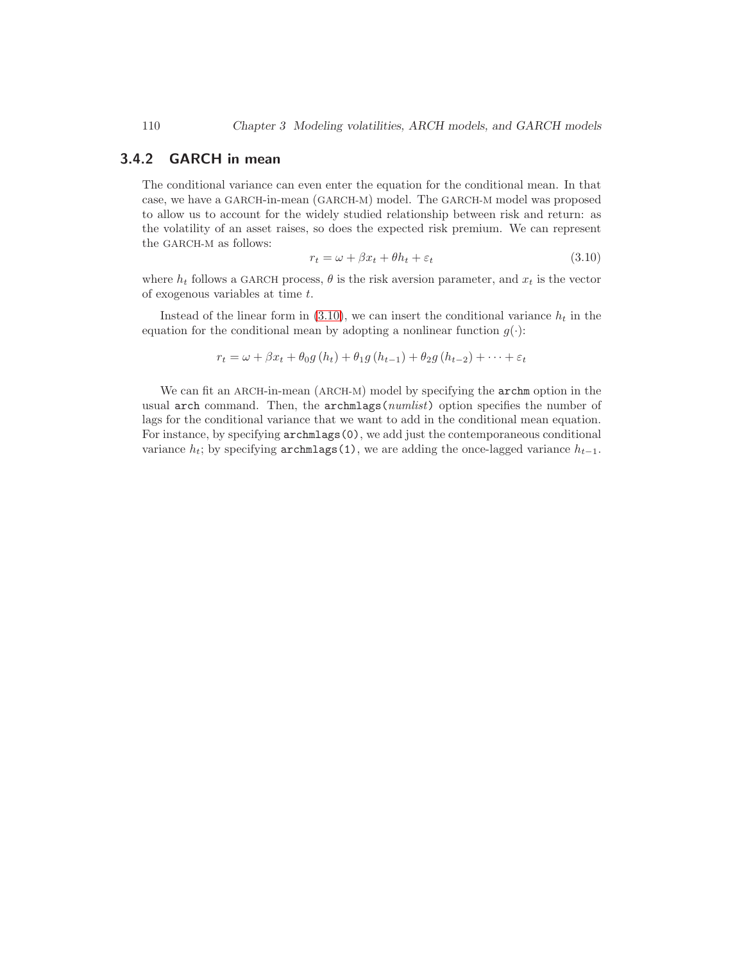# 3.4.2 GARCH in mean

The conditional variance can even enter the equation for the conditional mean. In that case, we have a GARCH-in-mean (GARCH-M) model. The GARCH-M model was proposed to allow us to account for the widely studied relationship between risk and return: as the volatility of an asset raises, so does the expected risk premium. We can represent the GARCH-M as follows:

$$
r_t = \omega + \beta x_t + \theta h_t + \varepsilon_t \tag{3.10}
$$

where  $h_t$  follows a GARCH process,  $\theta$  is the risk aversion parameter, and  $x_t$  is the vector of exogenous variables at time t.

Instead of the linear form in  $(3.10)$ , we can insert the conditional variance  $h_t$  in the equation for the conditional mean by adopting a nonlinear function  $g(\cdot)$ :

$$
r_t = \omega + \beta x_t + \theta_0 g(h_t) + \theta_1 g(h_{t-1}) + \theta_2 g(h_{t-2}) + \dots + \varepsilon_t
$$

We can fit an ARCH-in-mean (ARCH-M) model by specifying the **archm** option in the usual arch command. Then, the  $archmlags(nummlist)$  option specifies the number of lags for the conditional variance that we want to add in the conditional mean equation. For instance, by specifying archmlags(0), we add just the contemporaneous conditional variance  $h_t$ ; by specifying archmlags(1), we are adding the once-lagged variance  $h_{t-1}$ .